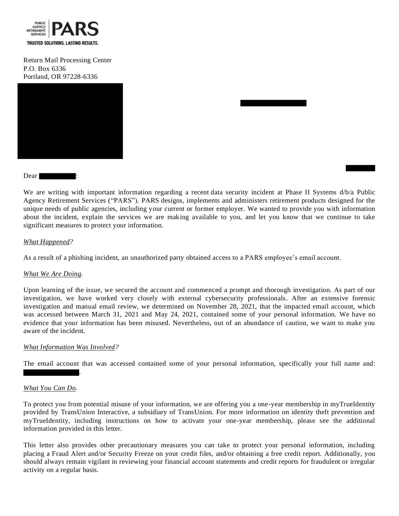

Return Mail Processing Center P.O. Box 6336 Portland, OR 97228-6336



Dear :

We are writing with important information regarding a recent data security incident at Phase II Systems d/b/a Public Agency Retirement Services ("PARS"). PARS designs, implements and administers retirement products designed for the unique needs of public agencies, including your current or former employer. We wanted to provide you with information about the incident, explain the services we are making available to you, and let you know that we continue to take significant measures to protect your information.

#### *What Happened?*

As a result of a phishing incident, an unauthorized party obtained access to a PARS employee's email account.

### *What We Are Doing.*

Upon learning of the issue, we secured the account and commenced a prompt and thorough investigation. As part of our investigation, we have worked very closely with external cybersecurity professionals. After an extensive forensic investigation and manual email review, we determined on November 28, 2021, that the impacted email account, which was accessed between March 31, 2021 and May 24, 2021, contained some of your personal information. We have no evidence that your information has been misused. Nevertheless, out of an abundance of caution, we want to make you aware of the incident.

#### *What Information Was Involved?*

.

The email account that was accessed contained some of your personal information, specifically your full name and:

#### *What You Can Do.*

To protect you from potential misuse of your information, we are offering you a one-year membership in myTrueIdentity provided by TransUnion Interactive, a subsidiary of TransUnion. For more information on identity theft prevention and myTrueIdentity, including instructions on how to activate your one-year membership, please see the additional information provided in this letter.

This letter also provides other precautionary measures you can take to protect your personal information, including placing a Fraud Alert and/or Security Freeze on your credit files, and/or obtaining a free credit report. Additionally, you should always remain vigilant in reviewing your financial account statements and credit reports for fraudulent or irregular activity on a regular basis.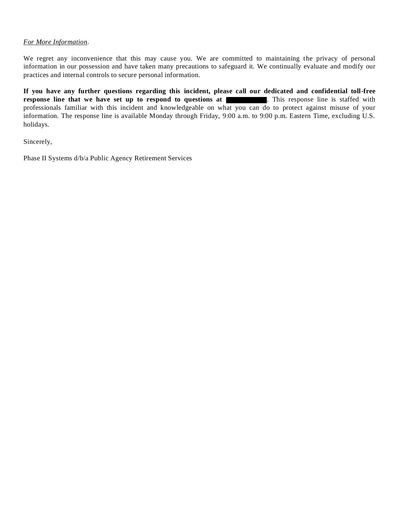#### *For More Information*.

We regret any inconvenience that this may cause you. We are committed to maintaining the privacy of personal information in our possession and have taken many precautions to safeguard it. We continually evaluate and modify our practices and internal controls to secure personal information.

**If you have any further questions regarding this incident, please call our dedicated and confidential toll-free response line that we have set up to respond to questions at <b>The COV**. This response line is staffed with professionals familiar with this incident and knowledgeable on what you can do to protect against misuse of your information. The response line is available Monday through Friday, 9:00 a.m. to 9:00 p.m. Eastern Time, excluding U.S. holidays.

Sincerely,

Phase II Systems d/b/a Public Agency Retirement Services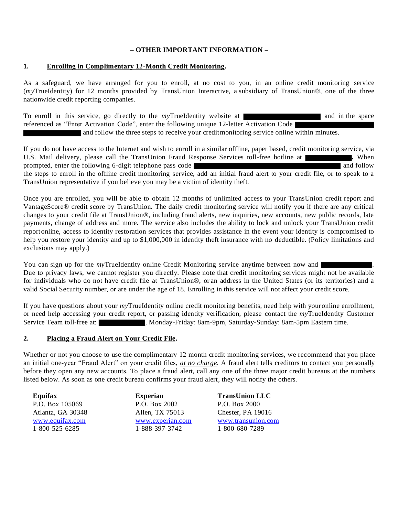# **– OTHER IMPORTANT INFORMATION –**

## **1. Enrolling in Complimentary 12-Month Credit Monitoring.**

As a safeguard, we have arranged for you to enroll, at no cost to you, in an online credit monitoring service (*my*TrueIdentity) for 12 months provided by TransUnion Interactive, a subsidiary of TransUnion®, one of the three nationwide credit reporting companies.

To enroll in this service, go directly to the *my*TrueIdentity website at and in the space referenced as "Enter Activation Code", enter the following unique 12-letter Activation Code and follow the three steps to receive your creditmonitoring service online within minutes.

If you do not have access to the Internet and wish to enroll in a similar offline, paper based, credit monitoring service, via U.S. Mail delivery, please call the TransUnion Fraud Response Services toll-free hotline at **.** When prompted, enter the following 6-digit telephone pass code and follow the steps to enroll in the offline credit monitoring service, add an initial fraud alert to your credit file, or to speak to a TransUnion representative if you believe you may be a victim of identity theft.

Once you are enrolled, you will be able to obtain 12 months of unlimited access to your TransUnion credit report and VantageScore® credit score by TransUnion. The daily credit monitoring service will notify you if there are any critical changes to your credit file at TransUnion®, including fraud alerts, new inquiries, new accounts, new public records, late payments, change of address and more. The service also includes the ability to lock and unlock your TransUnion credit reportonline, access to identity restoration services that provides assistance in the event your identity is compromised to help you restore your identity and up to \$1,000,000 in identity theft insurance with no deductible. (Policy limitations and exclusions may apply.)

You can sign up for the *my*TrueIdentity online Credit Monitoring service anytime between now and Due to privacy laws, we cannot register you directly. Please note that credit monitoring services might not be available for individuals who do not have credit file at TransUnion®, or an address in the United States (or its territories) and a valid Social Security number, or are under the age of 18. Enrolling in this service will not affect your credit score.

If you have questions about your *my*TrueIdentity online credit monitoring benefits, need help with youronline enrollment, or need help accessing your credit report, or passing identity verification, please contact the *my*TrueIdentity Customer Service Team toll-free at: , Monday-Friday: 8am-9pm, Saturday-Sunday: 8am-5pm Eastern time.

### **2. Placing a Fraud Alert on Your Credit File.**

Whether or not you choose to use the complimentary 12 month credit monitoring services, we recommend that you place an initial one-year "Fraud Alert" on your credit files, *at no charge*. A fraud alert tells creditors to contact you personally before they open any new accounts. To place a fraud alert, call any one of the three major credit bureaus at the numbers listed below. As soon as one credit bureau confirms your fraud alert, they will notify the others.

**Equifax** P.O. Box 105069 Atlanta, GA 30348 [www.equifax.com](http://www.equifax.com/) 1-800-525-6285

**Experian**  P.O. Box 2002 Allen, TX 75013 www.experian.com 1-888-397-3742

**TransUnion LLC** P.O. Box 2000 Chester, PA 19016 [www.transunion.com](http://www.transunion.com/) 1-800-680-7289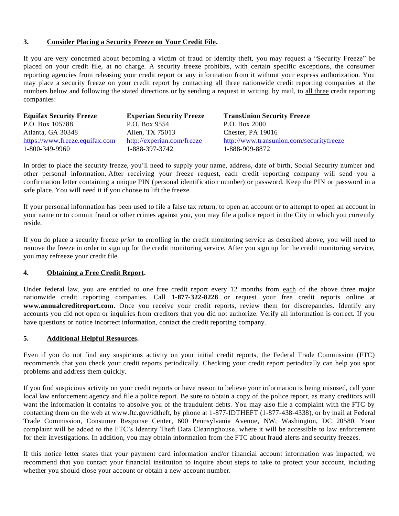## **3. Consider Placing a Security Freeze on Your Credit File.**

If you are very concerned about becoming a victim of fraud or identity theft, you may request a "Security Freeze" be placed on your credit file, at no charge. A security freeze prohibits, with certain specific exceptions, the consumer reporting agencies from releasing your credit report or any information from it without your express authorization. You may place a security freeze on your credit report by contacting all three nationwide credit reporting companies at the numbers below and following the stated directions or by sending a request in writing, by mail, to all three credit reporting companies:

| <b>Equifax Security Freeze</b> | <b>Experian Security Freeze</b> | <b>TransUnion Security Freeze</b>        |
|--------------------------------|---------------------------------|------------------------------------------|
| P.O. Box 105788                | P.O. Box 9554                   | P.O. Box 2000                            |
| Atlanta, GA 30348              | Allen, TX 75013                 | Chester, PA 19016                        |
| https://www.freeze.equifax.com | http://experian.com/freeze      | http://www.transunion.com/securityfreeze |
| 1-800-349-9960                 | 1-888-397-3742                  | 1-888-909-8872                           |

In order to place the security freeze, you'll need to supply your name, address, date of birth, Social Security number and other personal information. After receiving your freeze request, each credit reporting company will send you a confirmation letter containing a unique PIN (personal identification number) or password. Keep the PIN or password in a safe place. You will need it if you choose to lift the freeze.

If your personal information has been used to file a false tax return, to open an account or to attempt to open an account in your name or to commit fraud or other crimes against you, you may file a police report in the City in which you currently reside.

If you do place a security freeze *prior* to enrolling in the credit monitoring service as described above, you will need to remove the freeze in order to sign up for the credit monitoring service. After you sign up for the credit monitoring service, you may refreeze your credit file.

# **4. Obtaining a Free Credit Report.**

Under federal law, you are entitled to one free credit report every 12 months from each of the above three major nationwide credit reporting companies. Call **1-877-322-8228** or request your free credit reports online at **www.annualcreditreport.com**. Once you receive your credit reports, review them for discrepancies. Identify any accounts you did not open or inquiries from creditors that you did not authorize. Verify all information is correct. If you have questions or notice incorrect information, contact the credit reporting company.

## **5. Additional Helpful Resources.**

Even if you do not find any suspicious activity on your initial credit reports, the Federal Trade Commission (FTC) recommends that you check your credit reports periodically. Checking your credit report periodically can help you spot problems and address them quickly.

If you find suspicious activity on your credit reports or have reason to believe your information is being misused, call your local law enforcement agency and file a police report. Be sure to obtain a copy of the police report, as many creditors will want the information it contains to absolve you of the fraudulent debts. You may also file a complaint with the FTC by contacting them on the web at www.ftc.gov/idtheft, by phone at 1-877-IDTHEFT (1-877-438-4338), or by mail at Federal Trade Commission, Consumer Response Center, 600 Pennsylvania Avenue, NW, Washington, DC 20580. Your complaint will be added to the FTC's Identity Theft Data Clearinghouse, where it will be accessible to law enforcement for their investigations. In addition, you may obtain information from the FTC about fraud alerts and security freezes.

If this notice letter states that your payment card information and/or financial account information was impacted, we recommend that you contact your financial institution to inquire about steps to take to protect your account, including whether you should close your account or obtain a new account number.